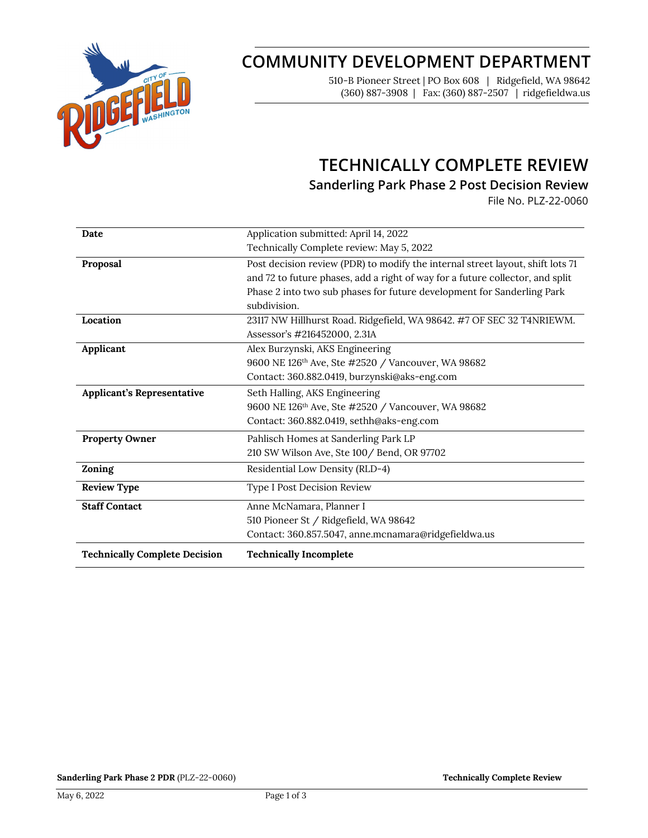

# **COMMUNITY DEVELOPMENT DEPARTMENT**

510-B Pioneer Street | PO Box 608 | Ridgefield, WA 98642 (360) 887-3908 | Fax: (360) 887-2507 | ridgefieldwa.us

## **TECHNICALLY COMPLETE REVIEW**

**Sanderling Park Phase 2 Post Decision Review**

File No. PLZ-22-0060

| Date                                 | Application submitted: April 14, 2022                                          |
|--------------------------------------|--------------------------------------------------------------------------------|
|                                      | Technically Complete review: May 5, 2022                                       |
| Proposal                             | Post decision review (PDR) to modify the internal street layout, shift lots 71 |
|                                      | and 72 to future phases, add a right of way for a future collector, and split  |
|                                      | Phase 2 into two sub phases for future development for Sanderling Park         |
|                                      | subdivision.                                                                   |
| Location                             | 23117 NW Hillhurst Road. Ridgefield, WA 98642. #7 OF SEC 32 T4NR1EWM.          |
|                                      | Assessor's #216452000, 2.31A                                                   |
| Applicant                            | Alex Burzynski, AKS Engineering                                                |
|                                      | 9600 NE 126th Ave, Ste #2520 / Vancouver, WA 98682                             |
|                                      | Contact: 360.882.0419, burzynski@aks-eng.com                                   |
| <b>Applicant's Representative</b>    | Seth Halling, AKS Engineering                                                  |
|                                      | 9600 NE 126 <sup>th</sup> Ave, Ste #2520 / Vancouver, WA 98682                 |
|                                      | Contact: 360.882.0419, sethh@aks-eng.com                                       |
| <b>Property Owner</b>                | Pahlisch Homes at Sanderling Park LP                                           |
|                                      | 210 SW Wilson Ave, Ste 100 / Bend, OR 97702                                    |
| Zoning                               | Residential Low Density (RLD-4)                                                |
| <b>Review Type</b>                   | Type I Post Decision Review                                                    |
| <b>Staff Contact</b>                 | Anne McNamara, Planner I                                                       |
|                                      | 510 Pioneer St / Ridgefield, WA 98642                                          |
|                                      | Contact: 360.857.5047, anne.mcnamara@ridgefieldwa.us                           |
| <b>Technically Complete Decision</b> | <b>Technically Incomplete</b>                                                  |

**Sanderling Park Phase 2 PDR** (PLZ-22-0060) **Technically Complete Review Technically Complete Review**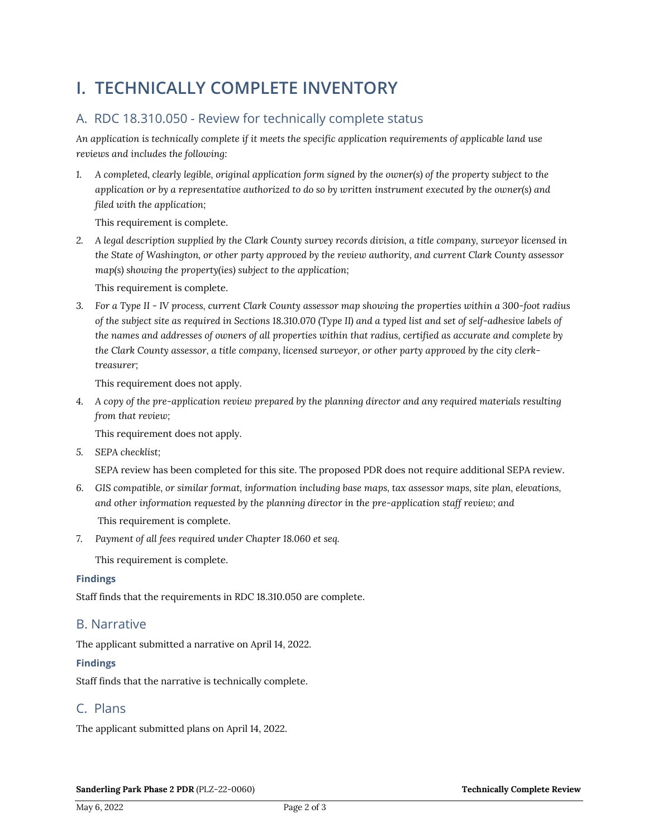# **I. TECHNICALLY COMPLETE INVENTORY**

## A. RDC 18.310.050 - Review for technically complete status

*An application is technically complete if it meets the specific application requirements of applicable land use reviews and includes the following:*

*1. A completed, clearly legible, original application form signed by the owner(s) of the property subject to the application or by a representative authorized to do so by written instrument executed by the owner(s) and filed with the application;* 

This requirement is complete.

*2. A legal description supplied by the Clark County survey records division, a title company, surveyor licensed in the State of Washington, or other party approved by the review authority, and current Clark County assessor map(s) showing the property(ies) subject to the application;*

This requirement is complete.

*3. For a Type II - IV process, current Clark County assessor map showing the properties within a 300-foot radius of the subject site as required in Sections 18.310.070 (Type II) and a typed list and set of self-adhesive labels of the names and addresses of owners of all properties within that radius, certified as accurate and complete by the Clark County assessor, a title company, licensed surveyor, or other party approved by the city clerktreasurer;*

This requirement does not apply.

*4. A copy of the pre-application review prepared by the planning director and any required materials resulting from that review;*

This requirement does not apply.

*5. SEPA checklist;*

SEPA review has been completed for this site. The proposed PDR does not require additional SEPA review.

- *6. GIS compatible, or similar format, information including base maps, tax assessor maps, site plan, elevations, and other information requested by the planning director in the pre-application staff review; and* This requirement is complete.
- *7. Payment of all fees required under Chapter 18.060 et seq.*

This requirement is complete.

#### **Findings**

Staff finds that the requirements in RDC 18.310.050 are complete.

### B. Narrative

The applicant submitted a narrative on April 14, 2022.

### **Findings**

Staff finds that the narrative is technically complete.

### C. Plans

The applicant submitted plans on April 14, 2022.